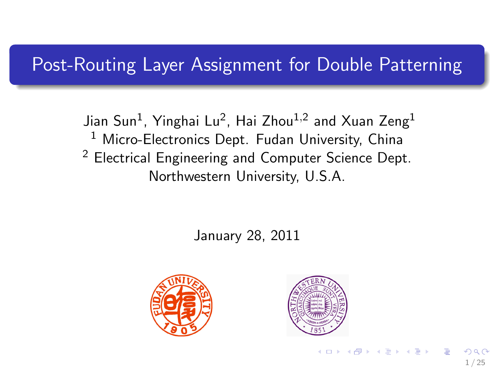## Post-Routing Layer Assignment for Double Patterning

Jian Sun $^1$ , Yinghai Lu $^2$ , Hai Zhou $^{1,2}$  and Xuan Zeng $^1$ <sup>1</sup> Micro-Electronics Dept. Fudan University, China <sup>2</sup> Electrical Engineering and Computer Science Dept. Northwestern University, U.S.A.

January 28, 2011





イロト イ押ト イヨト イヨト

1 / 25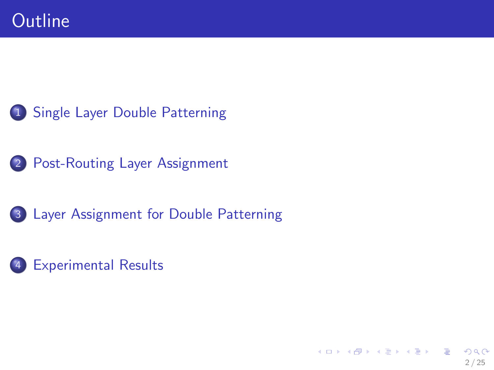- [Single Layer Double Patterning](#page-2-0)
- [Post-Routing Layer Assignment](#page-11-0)
- [Layer Assignment for Double Patterning](#page-14-0)
- [Experimental Results](#page-20-0)

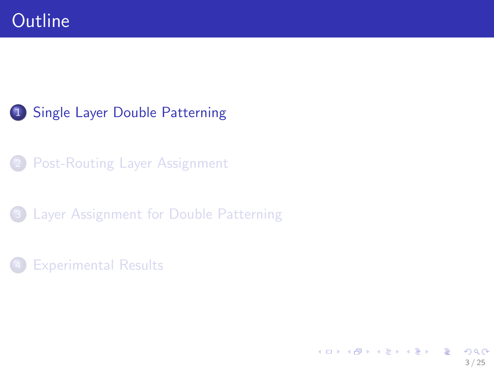## 1 [Single Layer Double Patterning](#page-2-0)

**[Post-Routing Layer Assignment](#page-11-0)** 

3 [Layer Assignment for Double Patterning](#page-14-0)

#### **[Experimental Results](#page-20-0)**

<span id="page-2-0"></span>イロト イ団 トイモト イモト **E**  $2990$ 3 / 25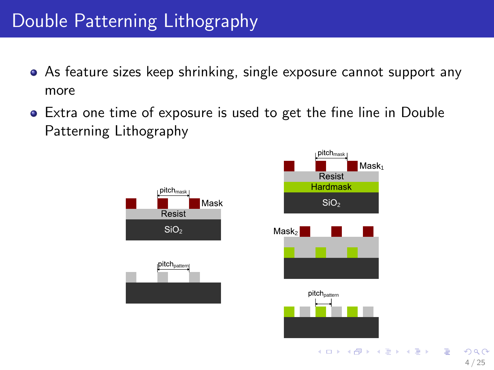## Double Patterning Lithography

- As feature sizes keep shrinking, single exposure cannot support any more
- Extra one time of exposure is used to get the fine line in Double Patterning Lithography



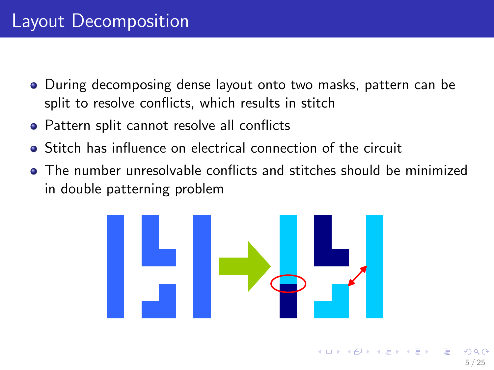## Layout Decomposition

- During decomposing dense layout onto two masks, pattern can be split to resolve conflicts, which results in stitch
- Pattern split cannot resolve all conflicts
- Stitch has influence on electrical connection of the circuit
- The number unresolvable conflicts and stitches should be minimized in double patterning problem



 $\left\{ \begin{array}{ccc} 1 & 0 & 0 \\ 0 & 1 & 0 \end{array} \right.$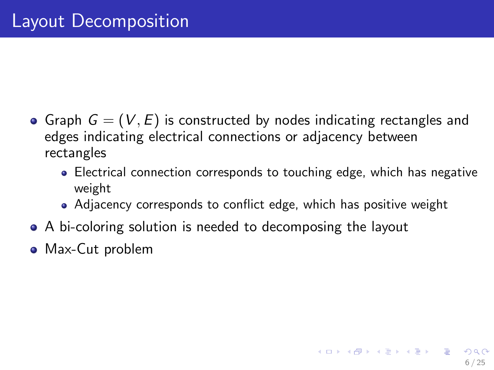- Graph  $G = (V, E)$  is constructed by nodes indicating rectangles and edges indicating electrical connections or adjacency between rectangles
	- Electrical connection corresponds to touching edge, which has negative weight

6 / 25

K ロ X K @ X K 할 X K 할 X ( 할 X

- Adjacency corresponds to conflict edge, which has positive weight
- A bi-coloring solution is needed to decomposing the layout
- Max-Cut problem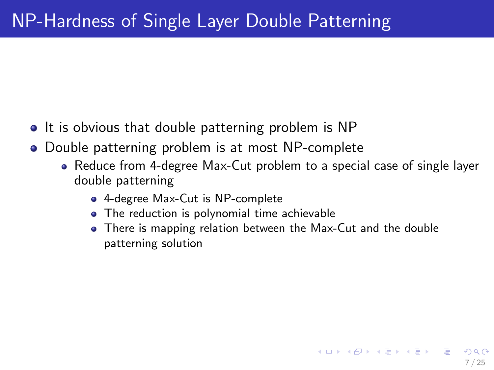- It is obvious that double patterning problem is NP
- Double patterning problem is at most NP-complete
	- Reduce from 4-degree Max-Cut problem to a special case of single layer double patterning
		- 4-degree Max-Cut is NP-complete
		- The reduction is polynomial time achievable
		- There is mapping relation between the Max-Cut and the double patterning solution

7 / 25

K ロ X K @ X K 경 X X 경 X X 경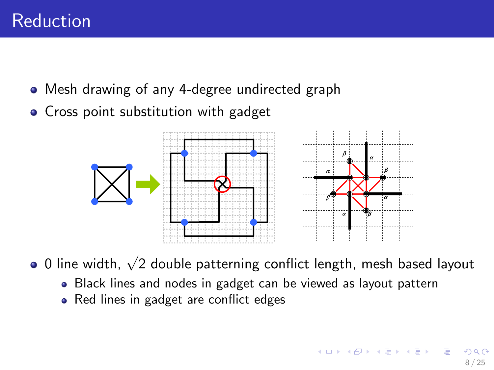- Mesh drawing of any 4-degree undirected graph
- Cross point substitution with gadget



0 line width,  $\sqrt{2}$  double patterning conflict length, mesh based layout

- Black lines and nodes in gadget can be viewed as layout pattern
- Red lines in gadget are conflict edges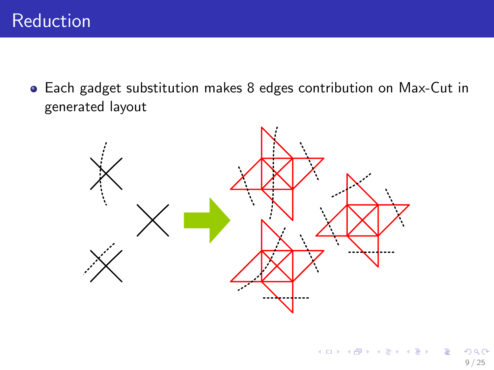Each gadget substitution makes 8 edges contribution on Max-Cut in generated layout

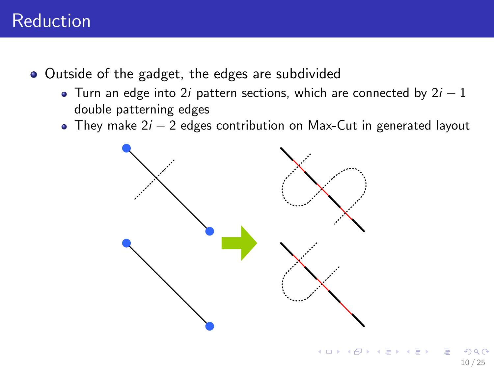## Reduction

- Outside of the gadget, the edges are subdivided
	- Turn an edge into 2i pattern sections, which are connected by  $2i 1$ double patterning edges
	- They make  $2i 2$  edges contribution on Max-Cut in generated layout



10 / 25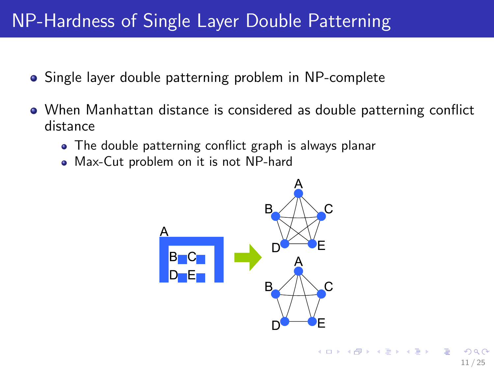## NP-Hardness of Single Layer Double Patterning

- Single layer double patterning problem in NP-complete
- When Manhattan distance is considered as double patterning conflict distance
	- The double patterning conflict graph is always planar
	- Max-Cut problem on it is not NP-hard

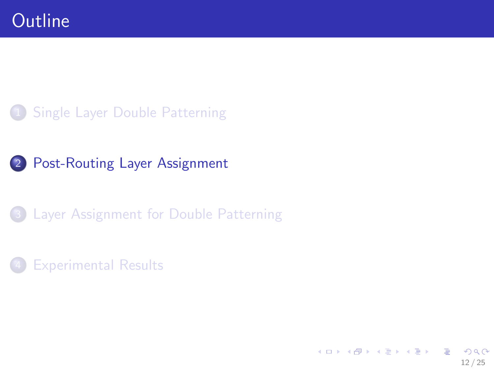#### 1 [Single Layer Double Patterning](#page-2-0)

## 2 [Post-Routing Layer Assignment](#page-11-0)

#### 3 [Layer Assignment for Double Patterning](#page-14-0)

#### **[Experimental Results](#page-20-0)**

<span id="page-11-0"></span>イロメ イ部メ イミメ イモメ **E**  $2990$ 12 / 25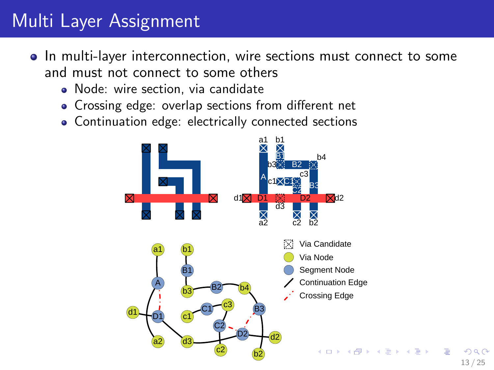## Multi Layer Assignment

- In multi-layer interconnection, wire sections must connect to some and must not connect to some others
	- Node: wire section, via candidate
	- Crossing edge: overlap sections from different net
	- Continuation edge: electrically connected sections



13 / 25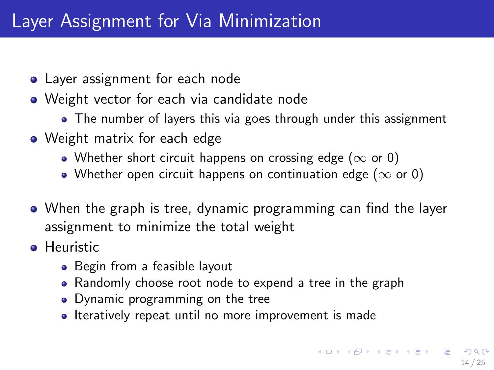## Layer Assignment for Via Minimization

- Layer assignment for each node
- Weight vector for each via candidate node
	- The number of layers this via goes through under this assignment
- Weight matrix for each edge
	- Whether short circuit happens on crossing edge ( $\infty$  or 0)
	- Whether open circuit happens on continuation edge ( $\infty$  or 0)
- When the graph is tree, dynamic programming can find the layer assignment to minimize the total weight
- **•** Heuristic
	- Begin from a feasible layout
	- Randomly choose root node to expend a tree in the graph
	- Dynamic programming on the tree
	- Iteratively repeat until no more improvement is made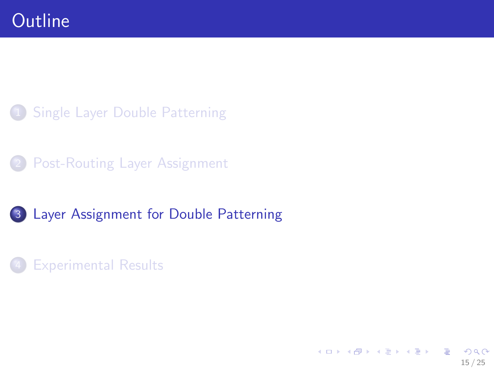### 1 [Single Layer Double Patterning](#page-2-0)

**[Post-Routing Layer Assignment](#page-11-0)** 

#### 3 [Layer Assignment for Double Patterning](#page-14-0)

#### **[Experimental Results](#page-20-0)**

<span id="page-14-0"></span>イロト イ団 トイモト イモト **E**  $2990$ 15 / 25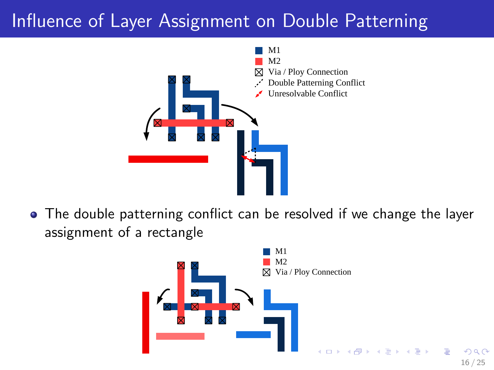## Influence of Layer Assignment on Double Patterning



The double patterning conflict can be resolved if we change the layer assignment of a rectangle

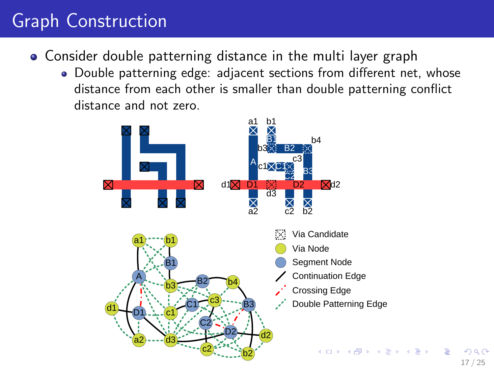# Graph Construction

- Consider double patterning distance in the multi layer graph
	- Double patterning edge: adjacent sections from different net, whose distance from each other is smaller than double patterning conflict distance and not zero.



17 / 25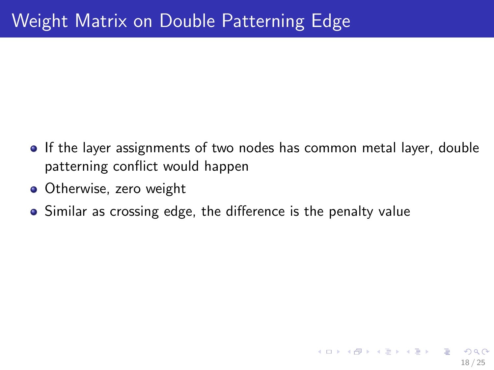If the layer assignments of two nodes has common metal layer, double patterning conflict would happen

18 / 25

K ロ ▶ K @ ▶ K 할 > K 할 > → 할 → ⊙ Q ⊙

- Otherwise, zero weight
- Similar as crossing edge, the difference is the penalty value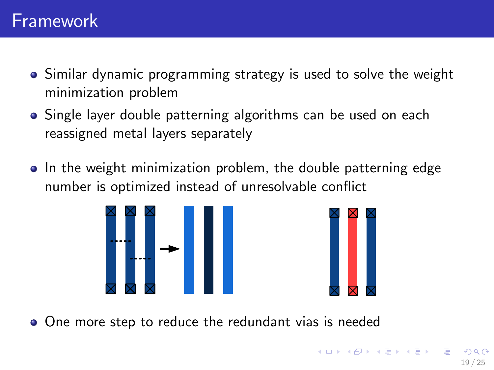- Similar dynamic programming strategy is used to solve the weight minimization problem
- Single layer double patterning algorithms can be used on each reassigned metal layers separately
- In the weight minimization problem, the double patterning edge number is optimized instead of unresolvable conflict





One more step to reduce the redundant vias is needed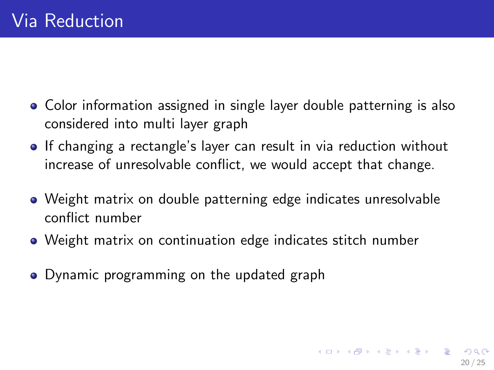- Color information assigned in single layer double patterning is also considered into multi layer graph
- If changing a rectangle's layer can result in via reduction without increase of unresolvable conflict, we would accept that change.
- Weight matrix on double patterning edge indicates unresolvable conflict number

20 / 25

K ロ X K @ X K 할 X K 할 X ( 할 X

- Weight matrix on continuation edge indicates stitch number
- Dynamic programming on the updated graph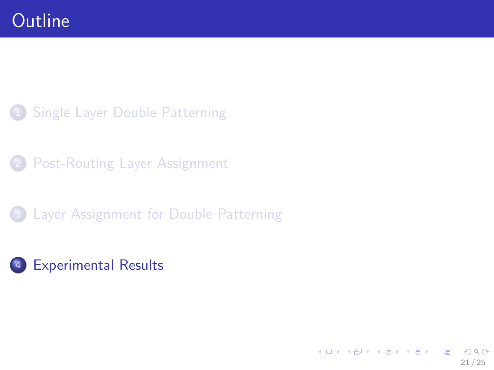### 1 [Single Layer Double Patterning](#page-2-0)

[Post-Routing Layer Assignment](#page-11-0)

#### 3 [Layer Assignment for Double Patterning](#page-14-0)

### 4 [Experimental Results](#page-20-0)

<span id="page-20-0"></span>イロメ イ部メ イミメ イモメ B  $2990$ 21 / 25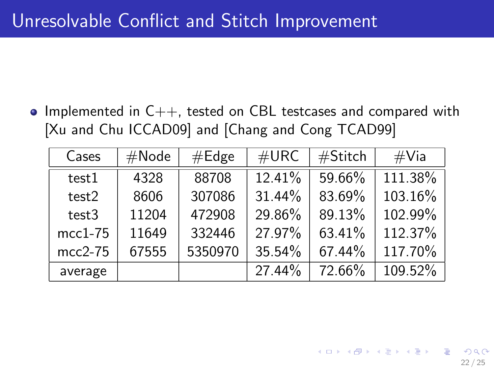• Implemented in  $C_{++}$ , tested on CBL testcases and compared with [Xu and Chu ICCAD09] and [Chang and Cong TCAD99]

| Cases     | #Node | #Edge   | #URC   | #Stitch | $\#$ Via |
|-----------|-------|---------|--------|---------|----------|
| test1     | 4328  | 88708   | 12.41% | 59.66%  | 111.38%  |
| test2     | 8606  | 307086  | 31.44% | 83.69%  | 103.16%  |
| test3     | 11204 | 472908  | 29.86% | 89.13%  | 102.99%  |
| $mcc1-75$ | 11649 | 332446  | 27.97% | 63.41%  | 112.37%  |
| $mcc2-75$ | 67555 | 5350970 | 35.54% | 67.44%  | 117.70%  |
| average   |       |         | 27.44% | 72.66%  | 109.52%  |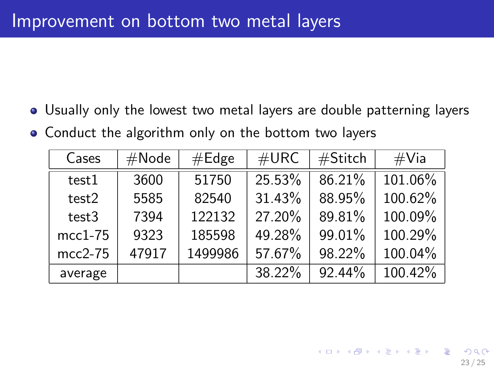- Usually only the lowest two metal layers are double patterning layers
- Conduct the algorithm only on the bottom two layers

| Cases     | #Node | #Edge   | #URC   | #Stitch | $\#$ Via |
|-----------|-------|---------|--------|---------|----------|
| test1     | 3600  | 51750   | 25.53% | 86.21%  | 101.06%  |
| test2     | 5585  | 82540   | 31.43% | 88.95%  | 100.62%  |
| test3     | 7394  | 122132  | 27.20% | 89.81%  | 100.09%  |
| $mcc1-75$ | 9323  | 185598  | 49.28% | 99.01%  | 100.29%  |
| $mcc2-75$ | 47917 | 1499986 | 57.67% | 98.22%  | 100.04%  |
| average   |       |         | 38.22% | 92.44%  | 100.42%  |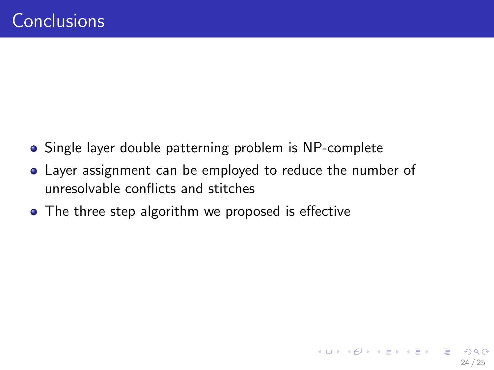- Single layer double patterning problem is NP-complete
- Layer assignment can be employed to reduce the number of unresolvable conflicts and stitches
- The three step algorithm we proposed is effective